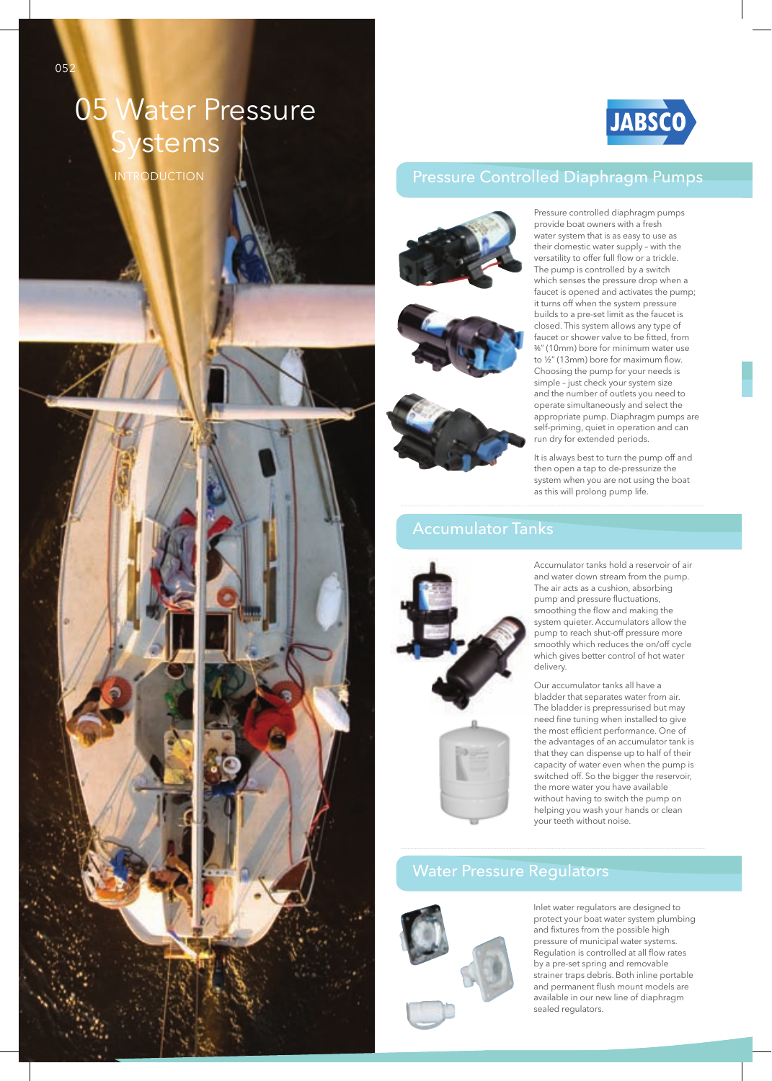# 05 Water Pressure *stems*

INTRODUCTION



## Pressure Controlled Diaphragm Pumps









Pressure controlled diaphragm pumps provide boat owners with a fresh water system that is as easy to use as their domestic water supply – with the versatility to offer full flow or a trickle. The pump is controlled by a switch which senses the pressure drop when a faucet is opened and activates the pump; it turns off when the system pressure builds to a pre-set limit as the faucet is closed. This system allows any type of faucet or shower valve to be fitted, from ³⁄8" (10mm) bore for minimum water use to  $\frac{1}{2}$ " (13mm) bore for maximum flow. Choosing the pump for your needs is simple – just check your system size and the number of outlets you need to operate simultaneously and select the appropriate pump. Diaphragm pumps are self-priming, quiet in operation and can run dry for extended periods.

It is always best to turn the pump off and then open a tap to de-pressurize the system when you are not using the boat as this will prolong pump life.

Accumulator tanks hold a reservoir of air and water down stream from the pump. The air acts as a cushion, absorbing pump and pressure fluctuations, smoothing the flow and making the system quieter. Accumulators allow the pump to reach shut-off pressure more smoothly which reduces the on/off cycle which gives better control of hot water delivery.

Our accumulator tanks all have a bladder that separates water from air. The bladder is prepressurised but may need fine tuning when installed to give the most efficient performance. One of the advantages of an accumulator tank is that they can dispense up to half of their capacity of water even when the pump is switched off. So the bigger the reservoir, the more water you have available without having to switch the pump on helping you wash your hands or clean your teeth without noise.

### Water Pressure Regulators



Inlet water regulators are designed to protect your boat water system plumbing and fixtures from the possible high pressure of municipal water systems. Regulation is controlled at all flow rates by a pre-set spring and removable strainer traps debris. Both inline portable and permanent flush mount models are available in our new line of diaphragm sealed regulators.

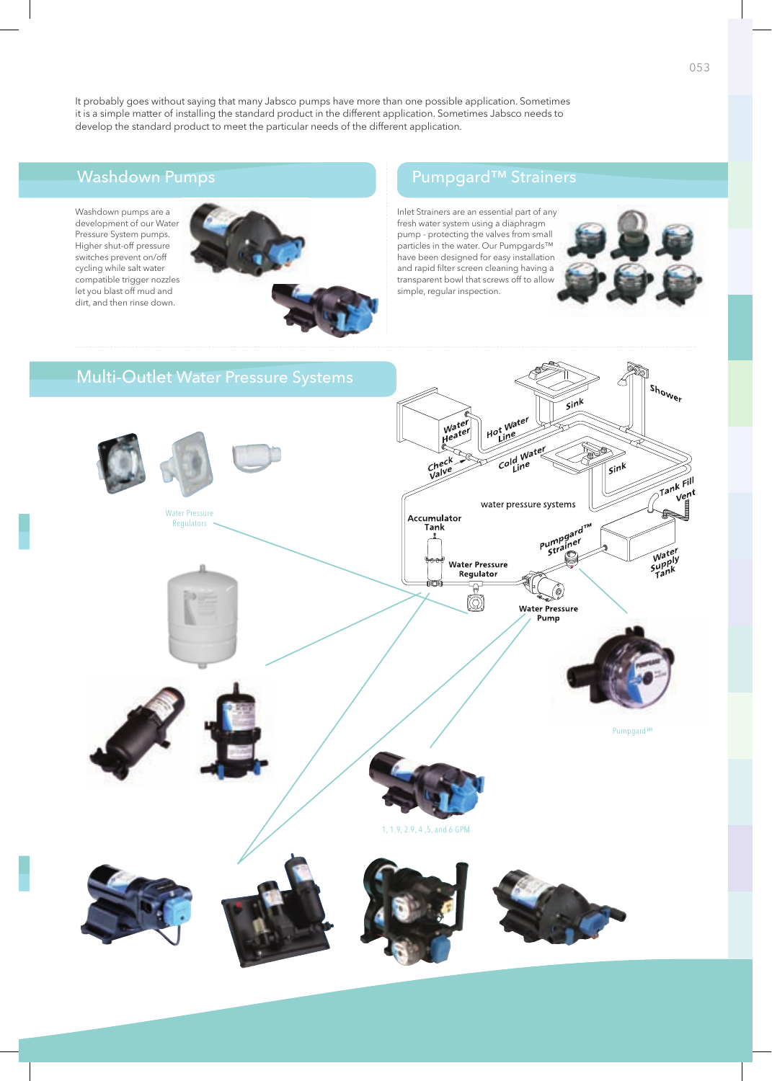It probably goes without saying that many Jabsco pumps have more than one possible application. Sometimes it is a simple matter of installing the standard product in the different application. Sometimes Jabsco needs to develop the standard product to meet the particular needs of the different application.

Washdown pumps are a development of our Water Pressure System pumps. Higher shut-off pressure switches prevent on/off cycling while salt water compatible trigger nozzles let you blast off mud and dirt, and then rinse down.



## Washdown Pumps Pump Pumpgard™ Strainers

Inlet Strainers are an essential part of any fresh water system using a diaphragm pump - protecting the valves from small particles in the water. Our Pumpgards™ have been designed for easy installation and rapid filter screen cleaning having a transparent bowl that screws off to allow simple, regular inspection.



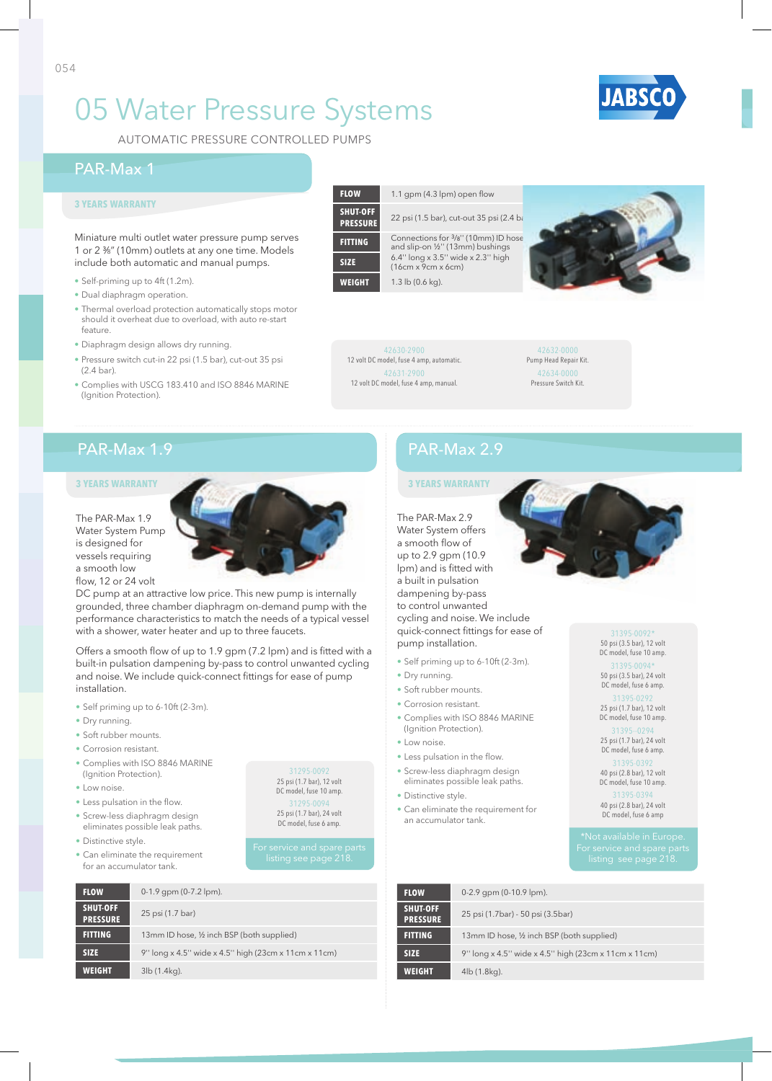# 05 Water Pressure Systems

AuTOMATIC PRESSuRE COnTROLLED PuMPS

### PAR-Max 1

#### **3 YEARS WARRANTY**

Miniature multi outlet water pressure pump serves 1 or 2 %" (10mm) outlets at any one time. Models include both automatic and manual pumps.

- Self-priming up to 4ft (1.2m).
- Dual diaphragm operation.
- Thermal overload protection automatically stops motor should it overheat due to overload, with auto re-start feature.
- Diaphragm design allows dry running.
- Pressure switch cut-in 22 psi (1.5 bar), cut-out 35 psi  $(2.4 \text{ har})$
- Complies with USCG 183.410 and ISO 8846 MARINE (Ignition Protection).

### **FLOW** 1.1 gpm (4.3 lpm) open flow **SHUT-OFF**  22 psi (1.5 bar), cut-out 35 psi (2.4 ba

**FITTING** Connections for <sup>3</sup>/8" (10mm) ID hose<br>and slip-on ½" (13mm) bushings **SIZE**  $6.4'' \text{ long} \times 3.5'' \text{ wide} \times 2.3'' \text{ high}$  (16cm x 9cm x 6cm)

42630-2900 12 volt DC model, fuse 4 amp, automatic. 42631-2900 12 volt DC model, fuse 4 amp, manual.

42632-0000 Pump Head Repair Kit. 42634-0000 Pressure Switch Kit.

## PAR-Max 1.9

#### The PAR-Max 1.9 Water System Pump is designed for vessels requiring a smooth low flow, 12 or 24 volt

DC pump at an attractive low price. This new pump is internally grounded, three chamber diaphragm on-demand pump with the performance characteristics to match the needs of a typical vessel with a shower, water heater and up to three faucets.

Offers a smooth flow of up to 1.9 gpm (7.2 lpm) and is fitted with a built-in pulsation dampening by-pass to control unwanted cycling and noise. We include quick-connect fittings for ease of pump installation.

- Self priming up to 6-10ft (2-3m).
- Dry running.
- Soft rubber mounts.
- Corrosion resistant.
- Complies with ISO 8846 MARInE (Ignition Protection).
- Low noise.
- Less pulsation in the flow.
- Screw-less diaphragm design eliminates possible leak paths.
- Distinctive style.
- Can eliminate the requirement for an accumulator tank.

31295-0092 25 psi (1.7 bar), 12 volt DC model, fuse 10 amp. 31295-0094 25 psi (1.7 bar), 24 volt DC model, fuse 6 amp.

| <b>FLOW</b>                        | $0-1.9$ gpm $(0-7.2$ lpm).                           |
|------------------------------------|------------------------------------------------------|
| <b>SHUT-OFF</b><br><b>PRESSURE</b> | 25 psi (1.7 bar)                                     |
| <b>FITTING</b>                     | 13mm ID hose, 1/2 inch BSP (both supplied)           |
| <b>SIZE</b>                        | 9" long x 4.5" wide x 4.5" high (23cm x 11cm x 11cm) |
| <b>WEIGHT</b>                      | 3lb (1.4kg).                                         |
|                                    |                                                      |

## PAR-Max 2.9

The PAR-Max 2.9 Water System offers a smooth flow of up to 2.9 gpm (10.9 lpm) and is fitted with a built in pulsation dampening by-pass to control unwanted cycling and noise. We include quick-connect fittings for ease of pump installation.

- Self priming up to 6-10ft (2-3m).
- Dry running.
- Soft rubber mounts.
- Corrosion resistant.
- Complies with ISO 8846 MARInE (Ignition Protection).
- Low noise.
- Less pulsation in the flow.
- Screw-less diaphragm design eliminates possible leak paths.
- Distinctive style.
- Can eliminate the requirement for an accumulator tank.



DC model, fuse 10 amp.

31395-0094\* 50 psi (3.5 bar), 24 volt DC model, fuse 6 amp.

31395-0292 25 psi (1.7 bar), 12 volt DC model, fuse 10 amp.

31395--0294 25 psi (1.7 bar), 24 volt DC model, fuse 6 amp.

40 psi (2.8 bar), 12 volt DC model, fuse 10 amp.

31395-0394 40 psi (2.8 bar), 24 volt DC model, fuse 6 amp

| <b>FLOW</b>                        | $0-2.9$ gpm $(0-10.9$ lpm).                          |
|------------------------------------|------------------------------------------------------|
| <b>SHUT-OFF</b><br><b>PRESSURE</b> | 25 psi (1.7bar) - 50 psi (3.5bar)                    |
| <b>FITTING</b>                     | 13mm ID hose, 1/2 inch BSP (both supplied)           |
| <b>SIZE</b>                        | 9" long x 4.5" wide x 4.5" high (23cm x 11cm x 11cm) |
| <b>WEIGHT</b>                      | 4lb (1.8kg).                                         |







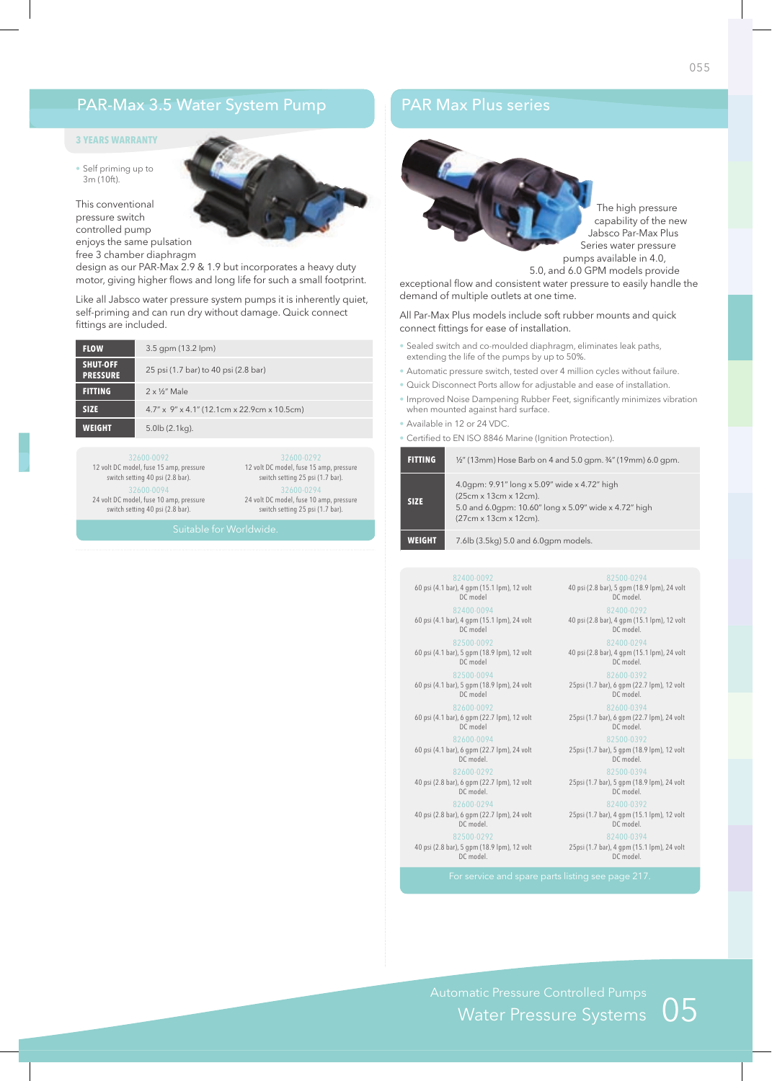### PAR-Max 3.5 Water System Pump

#### **3 YEARS WARRANTY**

• Self priming up to 3m (10ft).

This conventional pressure switch controlled pump enjoys the same pulsation free 3 chamber diaphragm

design as our PAR-Max 2.9 & 1.9 but incorporates a heavy duty motor, giving higher flows and long life for such a small footprint.

Like all Jabsco water pressure system pumps it is inherently quiet, self-priming and can run dry without damage. Quick connect fittings are included.

| <b>FLOW</b>                        | $3.5$ gpm $(13.2$ lpm $)$                                     |
|------------------------------------|---------------------------------------------------------------|
| <b>SHUT-OFF</b><br><b>PRESSURE</b> | 25 psi (1.7 bar) to 40 psi (2.8 bar)                          |
| <b>FITTING</b>                     | $2 \times \frac{1}{2}$ " Male                                 |
| <b>SIZE</b>                        | $4.7'' \times 9'' \times 4.1''$ (12.1 cm x 22.9 cm x 10.5 cm) |
| <b>WEIGHT</b>                      | $5.0$ lb $(2.1$ kg).                                          |

12 volt DC model, fuse 15 amp, pressure switch setting 40 psi (2.8 bar).

32600-0094 24 volt DC model, fuse 10 amp, pressure switch setting 40 psi (2.8 bar).

32600-0294 24 volt DC model, fuse 10 amp, pressure switch setting 25 psi (1.7 bar).

12 volt DC model, fuse 15 amp, pressure switch setting 25 psi (1.7 bar).

### PAR Max Plus series



exceptional flow and consistent water pressure to easily handle the demand of multiple outlets at one time.

All Par-Max Plus models include soft rubber mounts and quick connect fittings for ease of installation.

- Sealed switch and co-moulded diaphragm, eliminates leak paths, extending the life of the pumps by up to 50%.
- Automatic pressure switch, tested over 4 million cycles without failure.
- Quick Disconnect Ports allow for adjustable and ease of installation.
- Improved Noise Dampening Rubber Feet, significantly minimizes vibration when mounted against hard surface.
- Available in 12 or 24 VDC.
- Certified to EN ISO 8846 Marine (Ignition Protection).

| <b>FITTING</b> | $\frac{1}{2}$ " (13mm) Hose Barb on 4 and 5.0 gpm. $\frac{3}{4}$ " (19mm) 6.0 gpm.                                                                      |
|----------------|---------------------------------------------------------------------------------------------------------------------------------------------------------|
| <b>SIZE</b>    | 4.0qpm: 9.91" long x 5.09" wide x 4.72" high<br>(25cm x 13cm x 12cm).<br>5.0 and 6.0qpm: 10.60" long x 5.09" wide x 4.72" high<br>(27cm x 13cm x 12cm). |
| WEIGHT         | 7.6lb (3.5kg) 5.0 and 6.0gpm models.                                                                                                                    |

82400-0092 60 psi (4.1 bar), 4 gpm (15.1 lpm), 12 volt DC model 82400-0094 60 psi (4.1 bar), 4 gpm (15.1 lpm), 24 volt DC model 82500-0092 60 psi (4.1 bar), 5 gpm (18.9 lpm), 12 volt DC model

82500-0094 60 psi (4.1 bar), 5 gpm (18.9 lpm), 24 volt DC model

82600-0092 60 psi (4.1 bar), 6 gpm (22.7 lpm), 12 volt DC model

82600-0094

60 psi (4.1 bar), 6 gpm (22.7 lpm), 24 volt DC model. 82600-0292 40 psi (2.8 bar), 6 gpm (22.7 lpm), 12 volt

DC model.

40 psi (2.8 bar), 6 gpm (22.7 lpm), 24 volt DC model. 82500-0292

40 psi (2.8 bar), 5 gpm (18.9 lpm), 12 volt DC model.

82500-0394 25psi (1.7 bar), 5 gpm (18.9 lpm), 24 volt DC model. 25psi (1.7 bar), 4 gpm (15.1 lpm), 12 volt DC model. 82400-039 25psi (1.7 bar), 4 gpm (15.1 lpm), 24 volt DC model.

82500-0294 40 psi (2.8 bar), 5 gpm (18.9 lpm), 24 volt DC model. 82400-0292 40 psi (2.8 bar), 4 gpm (15.1 lpm), 12 volt DC model. 82400-0294 40 psi (2.8 bar), 4 gpm (15.1 lpm), 24 volt DC model. 82600-039 25psi (1.7 bar), 6 gpm (22.7 lpm), 12 volt DC model. 82600-039 25psi (1.7 bar), 6 gpm (22.7 lpm), 24 volt DC model. 82500-0392 25psi (1.7 bar), 5 gpm (18.9 lpm), 12 volt DC model.

Water Pressure Systems  $05$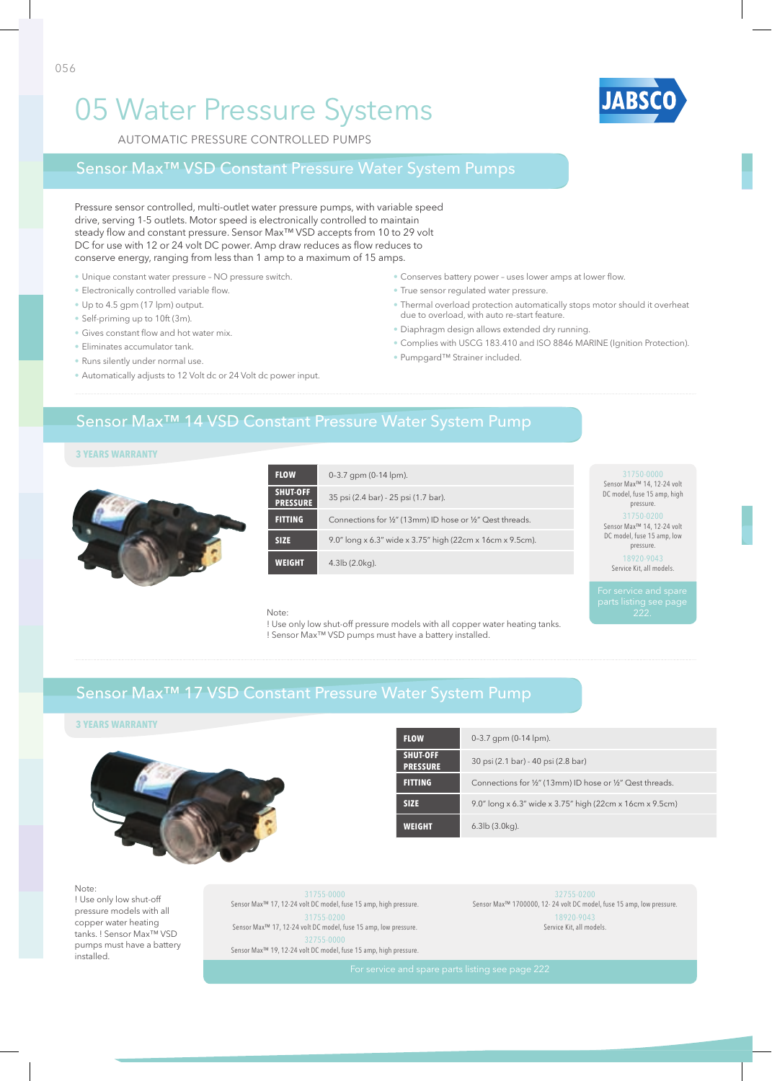# 05 Water Pressure Systems

AuTOMATIC PRESSuRE COnTROLLED PuMPS

### Sensor Max™ VSD Constant Pressure Water System Pumps

Pressure sensor controlled, multi-outlet water pressure pumps, with variable speed drive, serving 1-5 outlets. Motor speed is electronically controlled to maintain steady flow and constant pressure. Sensor Max<sup>™</sup> VSD accepts from 10 to 29 volt DC for use with 12 or 24 volt DC power. Amp draw reduces as flow reduces to conserve energy, ranging from less than 1 amp to a maximum of 15 amps.

- Unique constant water pressure NO pressure switch.
- Electronically controlled variable flow.
- Up to 4.5 gpm (17 lpm) output.
- Self-priming up to 10ft (3m).
- Gives constant flow and hot water mix.
- Eliminates accumulator tank.
- Runs silently under normal use.
- Automatically adjusts to 12 Volt dc or 24 Volt dc power input.

#### • Conserves battery power - uses lower amps at lower flow.

- True sensor regulated water pressure.
- Thermal overload protection automatically stops motor should it overheat due to overload, with auto re-start feature.
- Diaphragm design allows extended dry running.
- Complies with uSCg 183.410 and ISO 8846 MARInE (Ignition Protection).
- Pumpgard™ Strainer included.

### Sensor Max™ 14 VSD Constant Pressure Water System Pump

### **3 YEARS WARRANTY**



| <b>FLOW</b>                 | $0-3.7$ gpm $(0-14$ lpm).                                 | 31750-0000<br>Sensor Max <sup>™</sup> 14, 12-24 volt |
|-----------------------------|-----------------------------------------------------------|------------------------------------------------------|
| SHUT-OFF<br><b>PRESSURE</b> | 35 psi (2.4 bar) - 25 psi (1.7 bar).                      | DC model, fuse 15 amp, high<br>pressure.             |
| <b>FITTING</b>              | Connections for 1/2" (13mm) ID hose or 1/2" Qest threads. | 31750-0200<br>Sensor Max <sup>™</sup> 14, 12-24 volt |
| <b>SIZE</b>                 | 9.0" long x 6.3" wide x 3.75" high (22cm x 16cm x 9.5cm). | DC model, fuse 15 amp, low<br>pressure.              |
| <b>WEIGHT</b>               | $4.3$ lb $(2.0$ kg).                                      | 18920-9043<br>Service Kit all models                 |

Service Kit, all models.

#### Note:

! Use only low shut-off pressure models with all copper water heating tanks. ! Sensor Max™ VSD pumps must have a battery installed.

## Sensor Max™ 17 VSD Constant Pressure Water System Pump

#### **3 YEARS WARRANTY**



| <b>FLOW</b>                        | $0-3.7$ gpm $(0-14$ lpm).                                 |
|------------------------------------|-----------------------------------------------------------|
| <b>SHUT-OFF</b><br><b>PRESSURE</b> | 30 psi (2.1 bar) - 40 psi (2.8 bar)                       |
| <b>FITTING</b>                     | Connections for 1/2" (13mm) ID hose or 1/2" Qest threads. |
| <b>SIZE</b>                        | 9.0" long x 6.3" wide x 3.75" high (22cm x 16cm x 9.5cm)  |
| weldhi                             | $6.3$ lb $(3.0$ kg).                                      |

#### Note

! Use only low shut-off pressure models with all copper water heating tanks. ! Sensor Max™ VSD pumps must have a battery installed.

31755-0000 Sensor Max™ 17, 12-24 volt DC model, fuse 15 amp, high pressure. 31755-0200 Sensor Max™ 17, 12-24 volt DC model, fuse 15 amp, low pressure. 32755-0000 Sensor Max™ 19, 12-24 volt DC model, fuse 15 amp, high pressure.

Sensor Max™ 1700000, 12- 24 volt DC model, fuse 15 amp, low pressure. 18920-9043 Service Kit, all models.

056

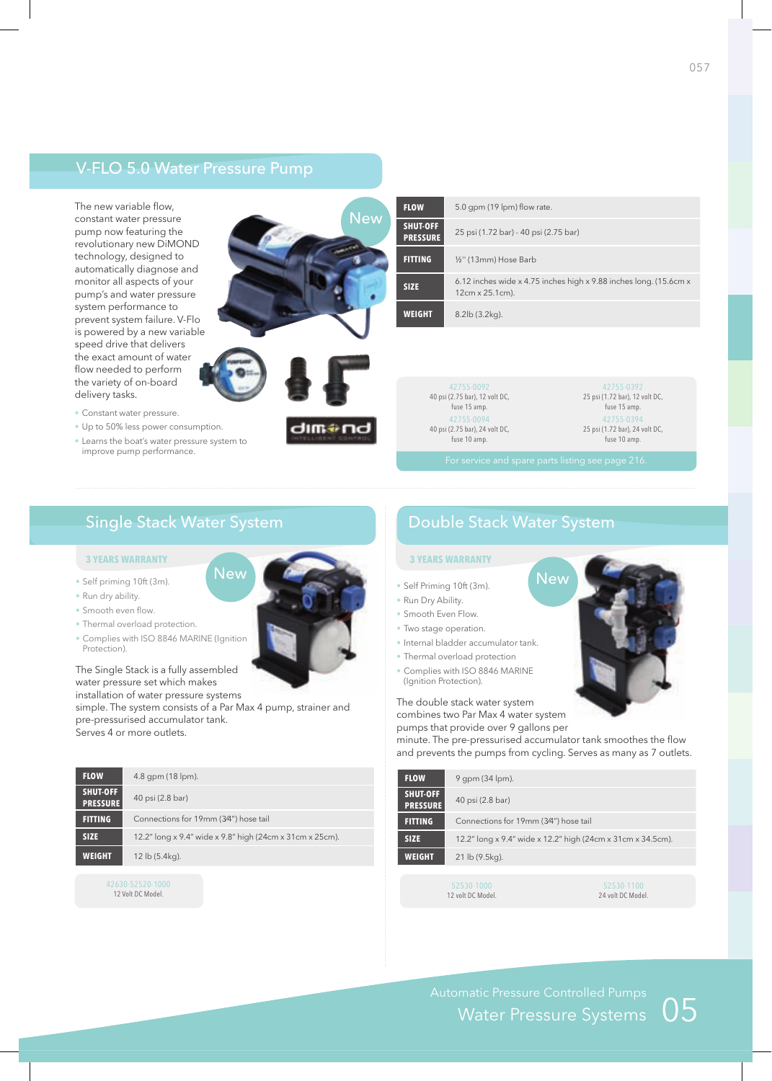## V-FLO 5.0 Water Pressure Pump

The new variable flow, constant water pressure pump now featuring the revolutionary new DiMOnD technology, designed to automatically diagnose and monitor all aspects of your pump's and water pressure system performance to prevent system failure. V-Flo is powered by a new variable speed drive that delivers the exact amount of water flow needed to perform the variety of on-board delivery tasks.



| <b>FLOW</b>                        | 5.0 gpm (19 lpm) flow rate.                                                          |
|------------------------------------|--------------------------------------------------------------------------------------|
| <b>SHUT-OFF</b><br><b>PRESSURE</b> | 25 psi (1.72 bar) - 40 psi (2.75 bar)                                                |
| <b>FITTING</b>                     | 1/ <sub>2</sub> " (13mm) Hose Barb                                                   |
| <b>SIZE</b>                        | 6.12 inches wide x 4.75 inches high x 9.88 inches long. (15.6cm x<br>12cm x 25.1cm). |
| <b>WEIGHT</b>                      | $8.2$ lb $(3.2$ kg).                                                                 |

42755-0092 40 psi (2.75 bar), 12 volt DC, fuse 15 amp. 42755-0094 40 psi (2.75 bar), 24 volt DC, fuse 10 amp.

42755-0392 25 psi (1.72 bar), 12 volt DC, fuse 15 amp. 42755-0394 25 psi (1.72 bar), 24 volt DC, fuse 10 amp.

**New** 

## Single Stack Water System

#### **3 YEARS WARRANTY 3 YEARS WARRANTY**

• Constant water pressure.

improve pump performance.

- Self priming 10ft (3m).
- Run dry ability.
- Smooth even flow.
- Thermal overload protection.
- Complies with ISO 8846 MARInE (Ignition Protection).

#### The Single Stack is a fully assembled water pressure set which makes installation of water pressure systems

simple. The system consists of a Par Max 4 pump, strainer and pre-pressurised accumulator tank. Serves 4 or more outlets.

New

| <b>FLOW</b>                 | $4.8$ gpm (18 lpm).                                      |
|-----------------------------|----------------------------------------------------------|
| SHUT-OFF<br><b>PRESSURE</b> | 40 psi (2.8 bar)                                         |
| <b>FITTING</b>              | Connections for 19mm (3/4") hose tail                    |
| <b>SIZE</b>                 | 12.2" long x 9.4" wide x 9.8" high (24cm x 31cm x 25cm). |
| WEIGHT                      | 12 lb (5.4kg).                                           |
|                             |                                                          |

## Double Stack Water System

### **3 YEARS WARRANTY**

- Self Priming 10ft (3m).
- Run Dry Ability.
- Smooth Even Flow.
- Two stage operation.
- Internal bladder accumulator tank.
- Thermal overload protection
- Complies with ISO 8846 MARInE (Ignition Protection).

#### The double stack water system

combines two Par Max 4 water system pumps that provide over 9 gallons per

minute. The pre-pressurised accumulator tank smoothes the flow and prevents the pumps from cycling. Serves as many as 7 outlets.

| <b>FLOW</b>                        | $9$ qpm (34 lpm).                                           |
|------------------------------------|-------------------------------------------------------------|
| <b>SHUT-OFF</b><br><b>PRESSURE</b> | 40 psi (2.8 bar)                                            |
| <b>FITTING</b>                     | Connections for 19mm (3/4") hose tail                       |
| <b>SIZE</b>                        | 12.2" long x 9.4" wide x 12.2" high (24cm x 31cm x 34.5cm). |
| <b>WEIGHT</b>                      | 21 lb (9.5kg).                                              |
|                                    |                                                             |

12 volt DC Model.

52530-1100 24 volt DC Model.

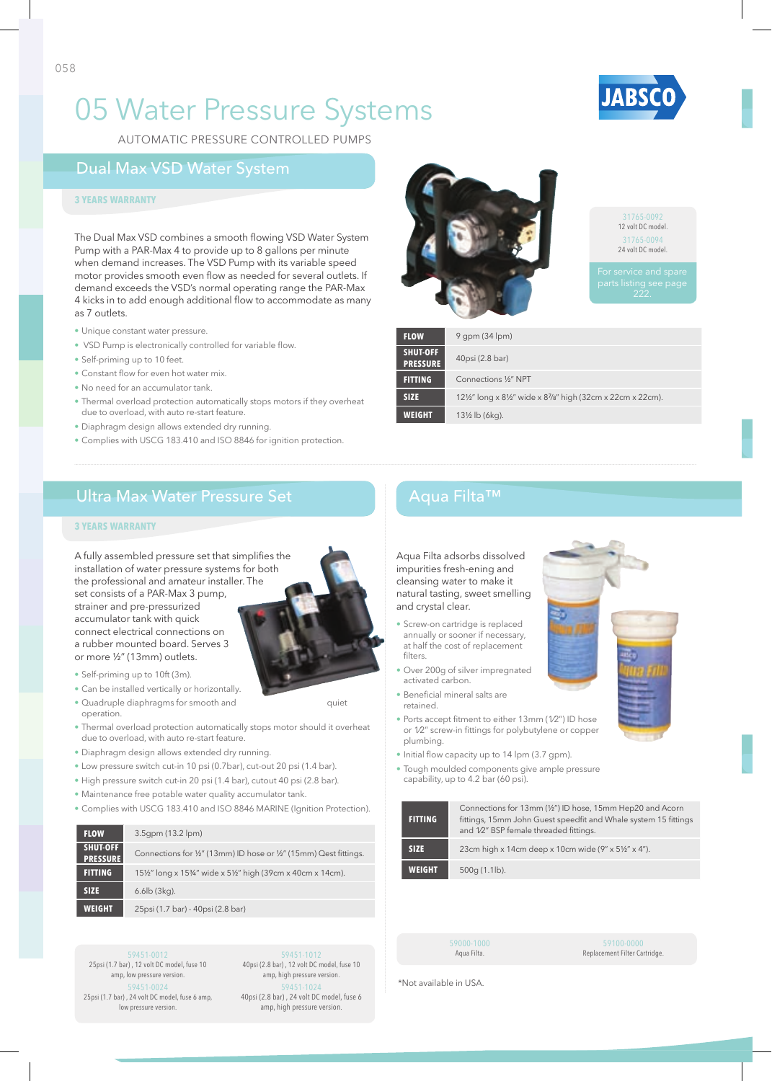



AuTOMATIC PRESSuRE COnTROLLED PuMPS

## Dual Max VSD Water System

#### **3 YEARS WARRANTY**

The Dual Max VSD combines a smooth flowing VSD Water System Pump with a PAR-Max 4 to provide up to 8 gallons per minute when demand increases. The VSD Pump with its variable speed motor provides smooth even flow as needed for several outlets. If demand exceeds the VSD's normal operating range the PAR-Max 4 kicks in to add enough additional flow to accommodate as many as 7 outlets.

- Unique constant water pressure.
- VSD Pump is electronically controlled for variable flow.
- Self-priming up to 10 feet.
- Constant flow for even hot water mix.
- No need for an accumulator tank.
- Thermal overload protection automatically stops motors if they overheat due to overload, with auto re-start feature.
- Diaphragm design allows extended dry running.
- Complies with USCG 183.410 and ISO 8846 for ignition protection.

## Ultra Max Water Pressure Set Aqua Filta™

#### **3 YEARS WARRANTY**

A fully assembled pressure set that simplifies the installation of water pressure systems for both the professional and amateur installer. The set consists of a PAR-Max 3 pump, strainer and pre-pressurized accumulator tank with quick connect electrical connections on a rubber mounted board. Serves 3 or more ½" (13mm) outlets.

• Self-priming up to 10ft (3m).

- Can be installed vertically or horizontally. • Quadruple diaphragms for smooth and quiet
- operation.
- Thermal overload protection automatically stops motor should it overheat due to overload, with auto re-start feature.
- Diaphragm design allows extended dry running.
- Low pressure switch cut-in 10 psi (0.7bar), cut-out 20 psi (1.4 bar).
- High pressure switch cut-in 20 psi (1.4 bar), cutout 40 psi (2.8 bar).
- Maintenance free potable water quality accumulator tank.
- Complies with uSCg 183.410 and ISO 8846 MARInE (Ignition Protection).

| <b>FLOW</b>                 | 3.5qpm (13.2 lpm)                                                 |
|-----------------------------|-------------------------------------------------------------------|
| SHUT-OFF<br><b>PRESSURE</b> | Connections for 1/2" (13mm) ID hose or 1/2" (15mm) Qest fittings. |
| <b>FITTING</b>              | 15½" long x 15¾" wide x 5½" high (39cm x 40cm x 14cm).            |
| <b>SIZE</b>                 | $6.6$ lb $(3$ kg).                                                |
| <b>WEIGHT</b>               | 25psi (1.7 bar) - 40psi (2.8 bar)                                 |

59451-0012 25psi (1.7 bar) , 12 volt DC model, fuse 10 amp, low pressure version. 59451-0024 25psi (1.7 bar) , 24 volt DC model, fuse 6 amp, low pressure version.

59451-1012 40psi (2.8 bar) , 12 volt DC model, fuse 10 amp, high pressure version. 59451-1024 40psi (2.8 bar) , 24 volt DC model, fuse 6 amp, high pressure version.



| <b>FLOW</b>                        | $9$ gpm (34 lpm)                                        |
|------------------------------------|---------------------------------------------------------|
| <b>SHUT-OFF</b><br><b>PRESSURE</b> | 40psi (2.8 bar)                                         |
| <b>FITTING</b>                     | Connections 1/2" NPT                                    |
| <b>SIZE</b>                        | 12½" long x 8½" wide x 87/8" high (32cm x 22cm x 22cm). |
| <b>WEIGHT</b>                      | 13½ lb (6kg).                                           |

Aqua Filta adsorbs dissolved impurities fresh-ening and cleansing water to make it natural tasting, sweet smelling and crystal clear.

- Screw-on cartridge is replaced annually or sooner if necessary, at half the cost of replacement filters
- Over 200g of silver impregnated activated carbon.
- Beneficial mineral salts are retained.
- Ports accept fitment to either 13mm (1/2") ID hose or 1/2" screw-in fittings for polybutylene or copper plumbing.
- Initial flow capacity up to 14 lpm (3.7 gpm).
- Tough moulded components give ample pressure capability, up to 4.2 bar (60 psi).

| <b>FITTING</b> | Connections for 13mm (1/2") ID hose, 15mm Hep20 and Acorn<br>fittings, 15mm John Guest speedfit and Whale system 15 fittings<br>and 1/2" BSP female threaded fittings. |
|----------------|------------------------------------------------------------------------------------------------------------------------------------------------------------------------|
| <b>SIZE</b>    | 23cm high x 14cm deep x 10cm wide $(9'' \times 5\frac{1}{2}'' \times 4'')$ .                                                                                           |
| WEIGHT         | $500q(1.1lb)$ .                                                                                                                                                        |

Aqua Filta.

Replacement Filter Cartridge.

\*not available in uSA.

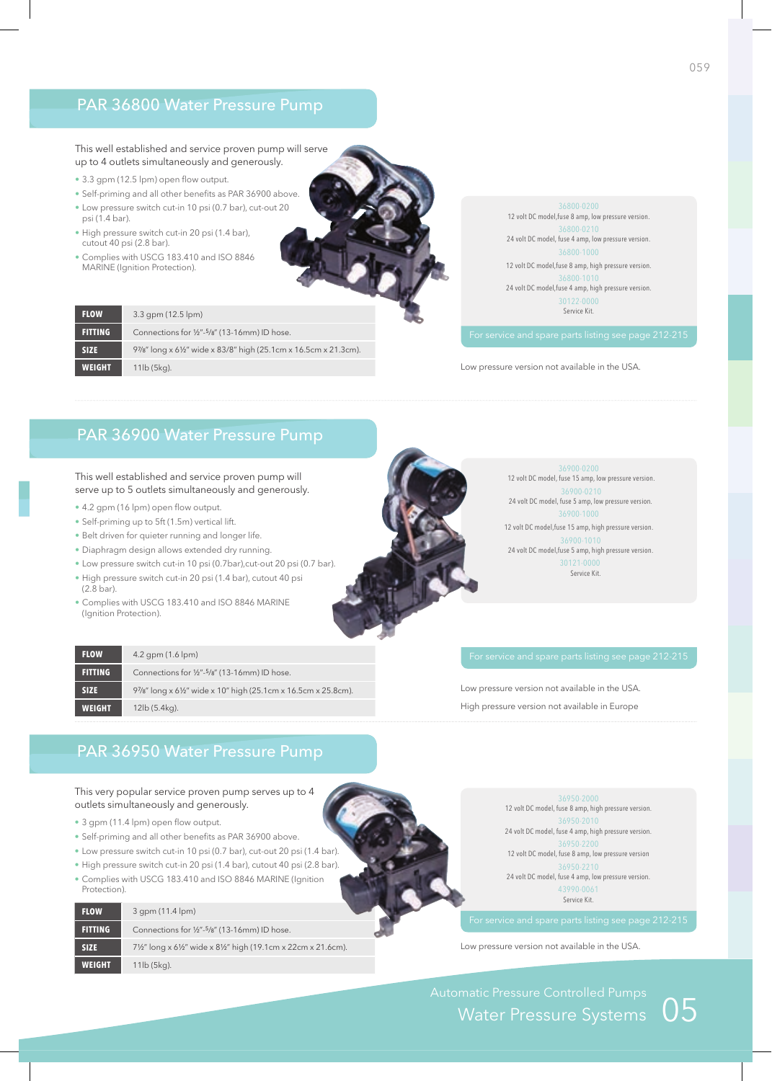### PAR 36800 Water Pressure Pump

#### This well established and service proven pump will serve up to 4 outlets simultaneously and generously.

- 3.3 gpm (12.5 lpm) open flow output.
- Self-priming and all other benefits as PAR 36900 above. • Low pressure switch cut-in 10 psi (0.7 bar), cut-out 20 psi (1.4 bar).
- High pressure switch cut-in 20 psi (1.4 bar), cutout 40 psi (2.8 bar).
- Complies with USCG 183.410 and ISO 8846 MARInE (Ignition Protection).

| <b>FLOW</b>    | $3.3$ gpm (12.5 lpm)                                             |
|----------------|------------------------------------------------------------------|
| <b>FITTING</b> | Connections for 1/2"-5/8" (13-16mm) ID hose.                     |
| <b>SIZE</b>    | 97/8" long x 61/2" wide x 83/8" high (25.1cm x 16.5cm x 21.3cm). |
| <b>WEIGHT</b>  | $11$ lb $(5$ kg).                                                |

12 volt DC model,fuse 8 amp, low pressure version. 24 volt DC model, fuse 4 amp, low pressure version. 12 volt DC model,fuse 8 amp, high pressure version. 36800-1010 24 volt DC model,fuse 4 amp, high pressure version. 30122-0000 Service Kit.

Low pressure version not available in the USA.

### PAR 36900 Water Pressure Pump

This well established and service proven pump will serve up to 5 outlets simultaneously and generously.

• 4.2 gpm (16 lpm) open flow output.

**FLOW** 4.2 gpm (1.6 lpm)

**WEIGHT** 12lb (5.4kg).

- Self-priming up to 5ft (1.5m) vertical lift.
- Belt driven for quieter running and longer life.
- Diaphragm design allows extended dry running.
- Low pressure switch cut-in 10 psi (0.7bar),cut-out 20 psi (0.7 bar).
- High pressure switch cut-in 20 psi (1.4 bar), cutout 40 psi (2.8 bar).
- Complies with USCG 183.410 and ISO 8846 MARINE (Ignition Protection).

**FITTING** Connections for 1/2"-<sup>5</sup>/8" (13-16mm) ID hose.

36900-0200

12 volt DC model, fuse 15 amp, low pressure version. 36900-0210 24 volt DC model, fuse 5 amp, low pressure version. 12 volt DC model,fuse 15 amp, high pressure version. 36900-1010 24 volt DC model,fuse 5 amp, high pressure version. 30121-0000 Service Kit.

Low pressure version not available in the USA. High pressure version not available in Europe

### PAR 36950 Water Pressure Pump

**SIZE** 97/8" long x 6½" wide x 10" high (25.1cm x 16.5cm x 25.8cm).

This very popular service proven pump serves up to 4 outlets simultaneously and generously.

- 3 gpm (11.4 lpm) open flow output.
- Self-priming and all other benefits as PAR 36900 above.
- Low pressure switch cut-in 10 psi (0.7 bar), cut-out 20 psi (1.4 bar).
- High pressure switch cut-in 20 psi (1.4 bar), cutout 40 psi (2.8 bar).
- Complies with uSCg 183.410 and ISO 8846 MARInE (Ignition Protection).

| <b>FLOW</b>    | 3 qpm (11.4 lpm)                                         |  |
|----------------|----------------------------------------------------------|--|
| <b>FITTING</b> | Connections for 1/2"-5/8" (13-16mm) ID hose.             |  |
| <b>SIZE</b>    | 7½" long x 6½" wide x 8½" high (19.1cm x 22cm x 21.6cm). |  |
| <b>WEIGHT</b>  | $11$ lb $(5kg)$ .                                        |  |

12 volt DC model, fuse 8 amp, high pressure version. 24 volt DC model, fuse 4 amp, high pressure version. 12 volt DC model, fuse 8 amp, low pressure version 36950-2210 24 volt DC model, fuse 4 amp, low pressure version. 43990-0061 Service Kit.

Low pressure version not available in the USA.

Automatic Pressure Controlled Pumps<br>Water Pressure Systems  $\,\mathsf{05}\,$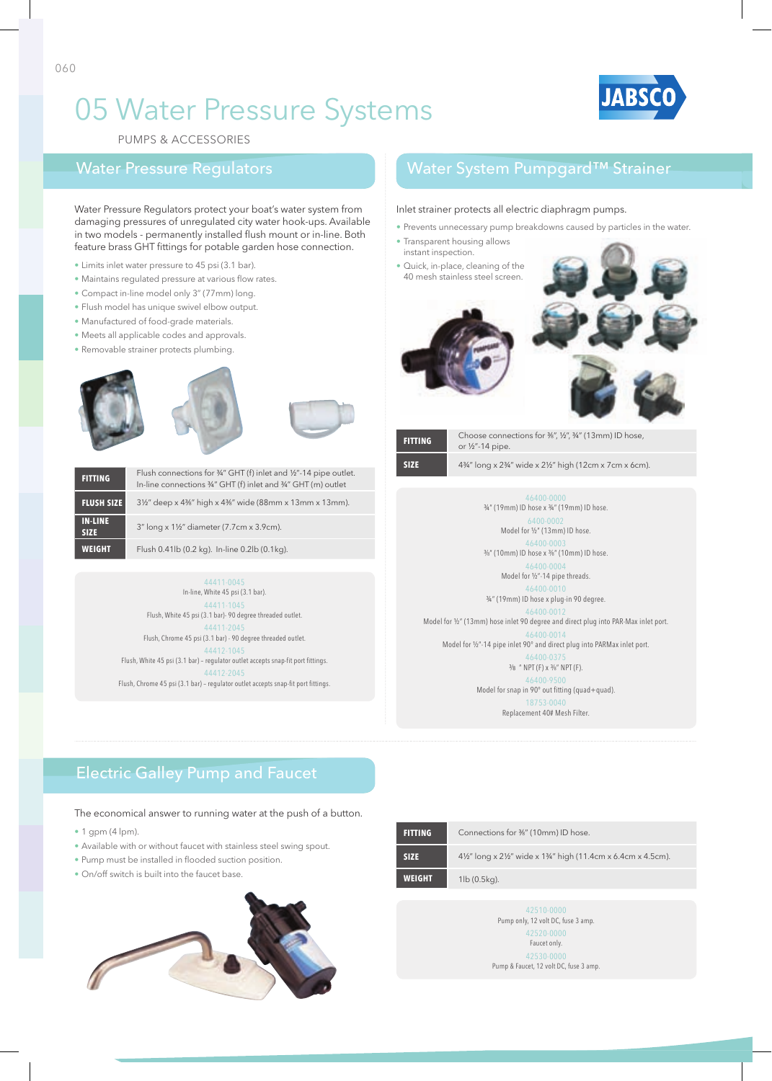

PuMPS & ACCESSORIES

Water Pressure Regulators protect your boat's water system from damaging pressures of unregulated city water hook-ups. Available in two models - permanently installed flush mount or in-line. Both feature brass GHT fittings for potable garden hose connection.

- Limits inlet water pressure to 45 psi (3.1 bar).
- Maintains regulated pressure at various flow rates.
- Compact in-line model only 3" (77mm) long.
- Flush model has unique swivel elbow output.
- Manufactured of food-grade materials.
- Meets all applicable codes and approvals.
- Removable strainer protects plumbing.







| <b>FITTING</b>                | Flush connections for 34" GHT (f) inlet and 1/2"-14 pipe outlet.<br>In-line connections 34" GHT (f) inlet and 34" GHT (m) outlet |
|-------------------------------|----------------------------------------------------------------------------------------------------------------------------------|
| <b>FLUSH SIZE</b>             | 3½" deep x 4%" high x 4%" wide (88mm x 13mm x 13mm).                                                                             |
| <b>IN-LINE</b><br><b>SIZE</b> | 3" long x 1½" diameter (7.7cm x 3.9cm).                                                                                          |
| <b>WEIGHT</b>                 | Flush 0.41lb (0.2 kg). In-line 0.2lb (0.1kg).                                                                                    |

44411-0045 In-line, White 45 psi (3.1 bar). 44411-1045 Flush, White 45 psi (3.1 bar)- 90 degree threaded outlet. 44411-2045 Flush, Chrome 45 psi (3.1 bar) - 90 degree threaded outlet. 44412-1045 Flush, White 45 psi (3.1 bar) – regulator outlet accepts snap-fit port fittings. 44412-2045 Flush, Chrome 45 psi (3.1 bar) – regulator outlet accepts snap-fit port fittings.

### Water Pressure Regulators Water System Pumpgard™ Strainer

#### Inlet strainer protects all electric diaphragm pumps.

- Prevents unnecessary pump breakdowns caused by particles in the water.
- Transparent housing allows instant inspection.
- Quick, in-place, cleaning of the 40 mesh stainless steel screen.



|  | ı |  |  |
|--|---|--|--|
|  |   |  |  |

or ½"-14 pipe.

**FITTING** Choose connections for ³⁄8", ½", ¾" (13mm) ID hose,

**SIZE** 4¾" long x 2¾" wide x 2½" high (12cm x 7cm x 6cm).

¾" (19mm) ID hose x ¾" (19mm) ID hose. 6400-0002 Model for ½" (13mm) ID hose. 46400-0003 ³⁄8" (10mm) ID hose x ³⁄8" (10mm) ID hose. 46400-0004 Model for ½"-14 pipe threads. 46400-0010 ¾" (19mm) ID hose x plug-in 90 degree. Model for ½" (13mm) hose inlet 90 degree and direct plug into PAR-Max inlet port. Model for 1/2"-14 pipe inlet 90° and direct plug into PARMax inlet port. 46400-037 ³⁄8 " NPT (F) x ³⁄8" NPT (F). 46400-950 Model for snap in 90° out fitting (quad+quad). 18753-0040

Replacement 40# Mesh Filter.

## Electric Galley Pump and Faucet

The economical answer to running water at the push of a button.

- $\cdot$  1 gpm (4 lpm).
- Available with or without faucet with stainless steel swing spout.
- Pump must be installed in flooded suction position.
- On/off switch is built into the faucet base.



| <b>FITTING</b> | Connections for 3%" (10mm) ID hose.                      |
|----------------|----------------------------------------------------------|
| <b>SIZE</b>    | 4½" long x 2½" wide x 1¾" high (11.4cm x 6.4cm x 4.5cm). |
| <b>WEIGHT</b>  | $1\vert b(0.5\vert \mathsf{q})$ .                        |

Pump only, 12 volt DC, fuse 3 amp. 42520-0000 Faucet only. 42530-0000 Pump & Faucet, 12 volt DC, fuse 3 amp.